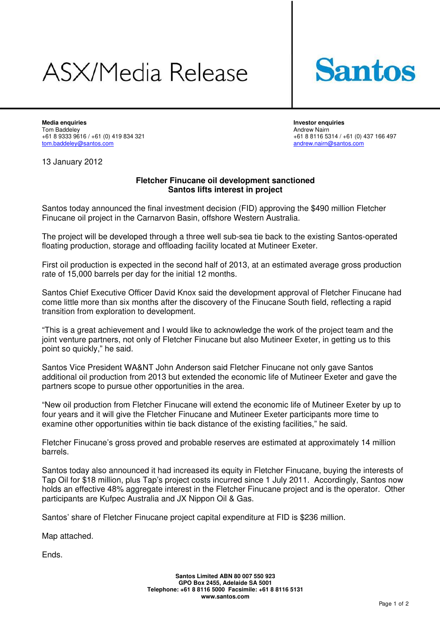## ASX/Media Release



**Media enquiries Investor enquiries**  Tom Baddeley Andrew Nairn tom.baddeley@santos.com

+61 8 8116 5314 / +61 (0) 437 166 497<br>andrew.nairn@santos.com

13 January 2012

## **Fletcher Finucane oil development sanctioned Santos lifts interest in project**

Santos today announced the final investment decision (FID) approving the \$490 million Fletcher Finucane oil project in the Carnarvon Basin, offshore Western Australia.

The project will be developed through a three well sub-sea tie back to the existing Santos-operated floating production, storage and offloading facility located at Mutineer Exeter.

First oil production is expected in the second half of 2013, at an estimated average gross production rate of 15,000 barrels per day for the initial 12 months.

Santos Chief Executive Officer David Knox said the development approval of Fletcher Finucane had come little more than six months after the discovery of the Finucane South field, reflecting a rapid transition from exploration to development.

"This is a great achievement and I would like to acknowledge the work of the project team and the joint venture partners, not only of Fletcher Finucane but also Mutineer Exeter, in getting us to this point so quickly," he said.

Santos Vice President WA&NT John Anderson said Fletcher Finucane not only gave Santos additional oil production from 2013 but extended the economic life of Mutineer Exeter and gave the partners scope to pursue other opportunities in the area.

"New oil production from Fletcher Finucane will extend the economic life of Mutineer Exeter by up to four years and it will give the Fletcher Finucane and Mutineer Exeter participants more time to examine other opportunities within tie back distance of the existing facilities," he said.

Fletcher Finucane's gross proved and probable reserves are estimated at approximately 14 million barrels.

Santos today also announced it had increased its equity in Fletcher Finucane, buying the interests of Tap Oil for \$18 million, plus Tap's project costs incurred since 1 July 2011. Accordingly, Santos now holds an effective 48% aggregate interest in the Fletcher Finucane project and is the operator. Other participants are Kufpec Australia and JX Nippon Oil & Gas.

Santos' share of Fletcher Finucane project capital expenditure at FID is \$236 million.

Map attached.

Ends.